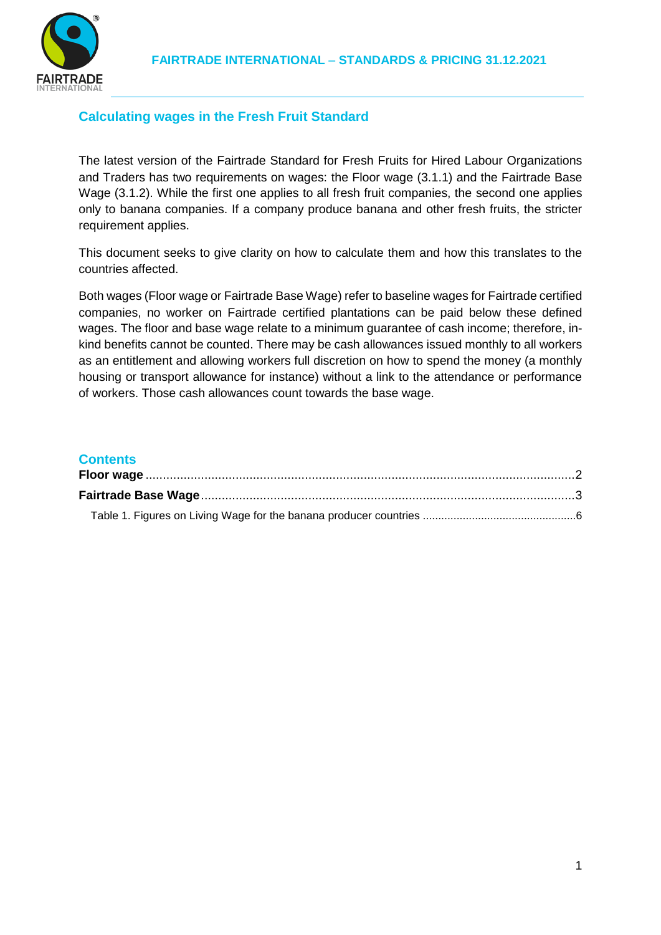

# **Calculating wages in the Fresh Fruit Standard**

The latest version of the Fairtrade Standard for Fresh Fruits for Hired Labour Organizations and Traders has two requirements on wages: the Floor wage (3.1.1) and the Fairtrade Base Wage (3.1.2). While the first one applies to all fresh fruit companies, the second one applies only to banana companies. If a company produce banana and other fresh fruits, the stricter requirement applies.

This document seeks to give clarity on how to calculate them and how this translates to the countries affected.

Both wages (Floor wage or Fairtrade Base Wage) refer to baseline wages for Fairtrade certified companies, no worker on Fairtrade certified plantations can be paid below these defined wages. The floor and base wage relate to a minimum guarantee of cash income; therefore, inkind benefits cannot be counted. There may be cash allowances issued monthly to all workers as an entitlement and allowing workers full discretion on how to spend the money (a monthly housing or transport allowance for instance) without a link to the attendance or performance of workers. Those cash allowances count towards the base wage.

## **Contents**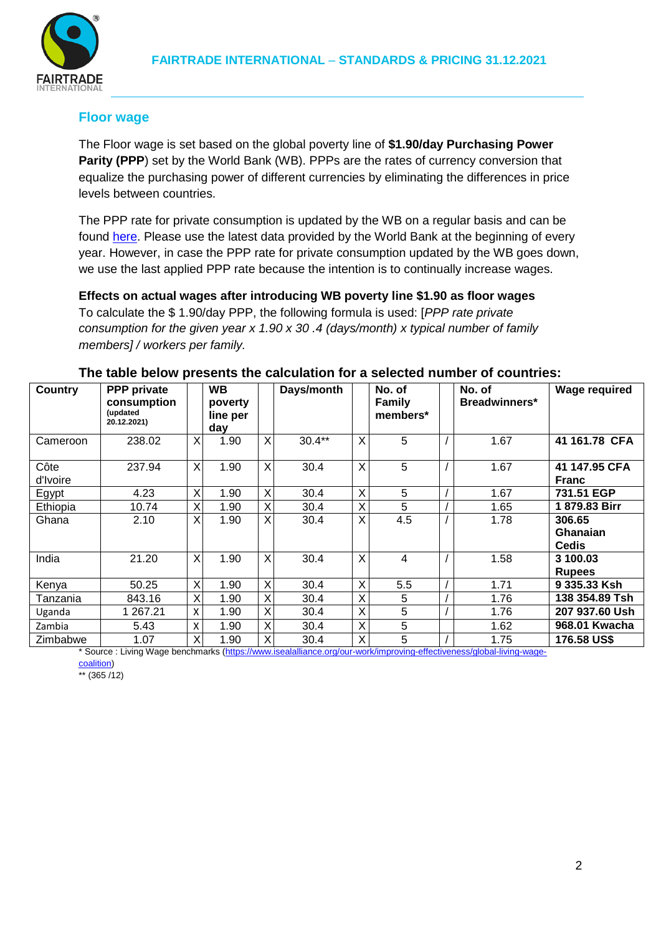

# **Floor wage**

The Floor wage is set based on the global poverty line of **\$1.90/day Purchasing Power Parity (PPP**) set by the World Bank (WB). PPPs are the rates of currency conversion that equalize the purchasing power of different currencies by eliminating the differences in price levels between countries.

The PPP rate for private consumption is updated by the WB on a regular basis and can be found [here.](http://data.worldbank.org/indicator/PA.NUS.PRVT.PP) Please use the latest data provided by the World Bank at the beginning of every year. However, in case the PPP rate for private consumption updated by the WB goes down, we use the last applied PPP rate because the intention is to continually increase wages.

**Effects on actual wages after introducing WB poverty line \$1.90 as floor wages** To calculate the \$ 1.90/day PPP, the following formula is used: [*PPP rate private consumption for the given year x 1.90 x 30 .4 (days/month) x typical number of family members] / workers per family.*

| Country                   | <b>PPP</b> private        |   | <b>WB</b> |    | Days/month |   | No. of                                                 | No. of        | <b>Wage required</b> |
|---------------------------|---------------------------|---|-----------|----|------------|---|--------------------------------------------------------|---------------|----------------------|
|                           | consumption               |   | poverty   |    |            |   | <b>Family</b>                                          | Breadwinners* |                      |
|                           | (updated                  |   | line per  |    |            |   | members*                                               |               |                      |
|                           | 20.12.2021)               |   | day       |    |            |   |                                                        |               |                      |
| Cameroon                  | 238.02                    | X | 1.90      | X. | $30.4**$   | X | 5                                                      | 1.67          | 41 161.78 CFA        |
|                           |                           |   |           |    |            |   |                                                        |               |                      |
| Côte                      | 237.94                    | X | 1.90      | X  | 30.4       | X | 5                                                      | 1.67          | 41 147.95 CFA        |
| d'Ivoire                  |                           |   |           |    |            |   |                                                        |               | <b>Franc</b>         |
| Egypt                     | 4.23                      | Χ | 1.90      | X  | 30.4       | X | 5                                                      | 1.67          | 731.51 EGP           |
| Ethiopia                  | 10.74                     | Χ | 1.90      | X  | 30.4       | Χ | 5                                                      | 1.65          | 1879.83 Birr         |
| Ghana                     | 2.10                      | X | 1.90      | X  | 30.4       | X | 4.5                                                    | 1.78          | 306.65               |
|                           |                           |   |           |    |            |   |                                                        |               | Ghanaian             |
|                           |                           |   |           |    |            |   |                                                        |               | <b>Cedis</b>         |
| India                     | 21.20                     | X | 1.90      | X  | 30.4       | X | 4                                                      | 1.58          | 3 100.03             |
|                           |                           |   |           |    |            |   |                                                        |               | <b>Rupees</b>        |
| Kenya                     | 50.25                     | Χ | 1.90      | X  | 30.4       | X | 5.5                                                    | 1.71          | 9 335.33 Ksh         |
| Tanzania                  | 843.16                    | Χ | 1.90      | Χ  | 30.4       | X | 5                                                      | 1.76          | 138 354.89 Tsh       |
| Uganda                    | 1 267.21                  | X | 1.90      | X  | 30.4       | X | 5                                                      | 1.76          | 207 937.60 Ush       |
| Zambia                    | 5.43                      | X | 1.90      | X  | 30.4       | X | 5                                                      | 1.62          | 968.01 Kwacha        |
| Zimbabwe<br>$\sim$ $\sim$ | 1.07<br>$\cdots$ $\cdots$ | X | 1.90      | X  | 30.4       | Χ | 5<br>$\mathbf{r}$<br><b>Contract Contract Contract</b> | 1.75          | 176.58 US\$          |

#### **The table below presents the calculation for a selected number of countries:**

\* Source : Living Wage benchmarks [\(https://www.isealalliance.org/our-work/improving-effectiveness/global-living-wage-](https://www.isealalliance.org/our-work/improving-effectiveness/global-living-wage-coalition)

[coalition\)](https://www.isealalliance.org/our-work/improving-effectiveness/global-living-wage-coalition)

 $*$  (365 /12)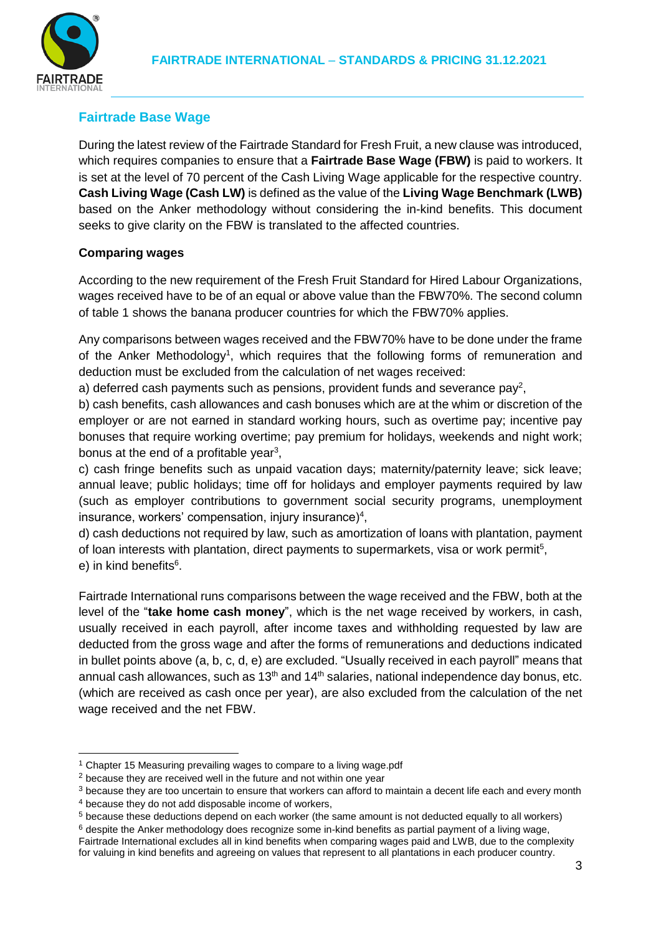

# **Fairtrade Base Wage**

During the latest review of the Fairtrade Standard for Fresh Fruit, a new clause was introduced, which requires companies to ensure that a **Fairtrade Base Wage (FBW)** is paid to workers. It is set at the level of 70 percent of the Cash Living Wage applicable for the respective country. **Cash Living Wage (Cash LW)** is defined as the value of the **Living Wage Benchmark (LWB)** based on the Anker methodology without considering the in-kind benefits. This document seeks to give clarity on the FBW is translated to the affected countries.

## **Comparing wages**

According to the new requirement of the Fresh Fruit Standard for Hired Labour Organizations, wages received have to be of an equal or above value than the FBW70%. The second column of table 1 shows the banana producer countries for which the FBW70% applies.

Any comparisons between wages received and the FBW70% have to be done under the frame of the Anker Methodology<sup>1</sup>, which requires that the following forms of remuneration and deduction must be excluded from the calculation of net wages received:

a) deferred cash payments such as pensions, provident funds and severance pay<sup>2</sup>,

b) cash benefits, cash allowances and cash bonuses which are at the whim or discretion of the employer or are not earned in standard working hours, such as overtime pay; incentive pay bonuses that require working overtime; pay premium for holidays, weekends and night work; bonus at the end of a profitable year<sup>3</sup>,

c) cash fringe benefits such as unpaid vacation days; maternity/paternity leave; sick leave; annual leave; public holidays; time off for holidays and employer payments required by law (such as employer contributions to government social security programs, unemployment insurance, workers' compensation, injury insurance)<sup>4</sup>,

d) cash deductions not required by law, such as amortization of loans with plantation, payment of loan interests with plantation, direct payments to supermarkets, visa or work permit<sup>5</sup>, e) in kind benefits<sup>6</sup>.

Fairtrade International runs comparisons between the wage received and the FBW, both at the level of the "**take home cash money**", which is the net wage received by workers, in cash, usually received in each payroll, after income taxes and withholding requested by law are deducted from the gross wage and after the forms of remunerations and deductions indicated in bullet points above (a, b, c, d, e) are excluded. "Usually received in each payroll" means that annual cash allowances, such as  $13<sup>th</sup>$  and  $14<sup>th</sup>$  salaries, national independence day bonus, etc. (which are received as cash once per year), are also excluded from the calculation of the net wage received and the net FBW.

<sup>&</sup>lt;sup>1</sup> Chapter 15 Measuring prevailing wages to compare to a living wage.pdf

<sup>&</sup>lt;sup>2</sup> because they are received well in the future and not within one year

<sup>&</sup>lt;sup>3</sup> because they are too uncertain to ensure that workers can afford to maintain a decent life each and every month

<sup>4</sup> because they do not add disposable income of workers,

<sup>5</sup> because these deductions depend on each worker (the same amount is not deducted equally to all workers)

 $6$  despite the Anker methodology does recognize some in-kind benefits as partial payment of a living wage, Fairtrade International excludes all in kind benefits when comparing wages paid and LWB, due to the complexity for valuing in kind benefits and agreeing on values that represent to all plantations in each producer country.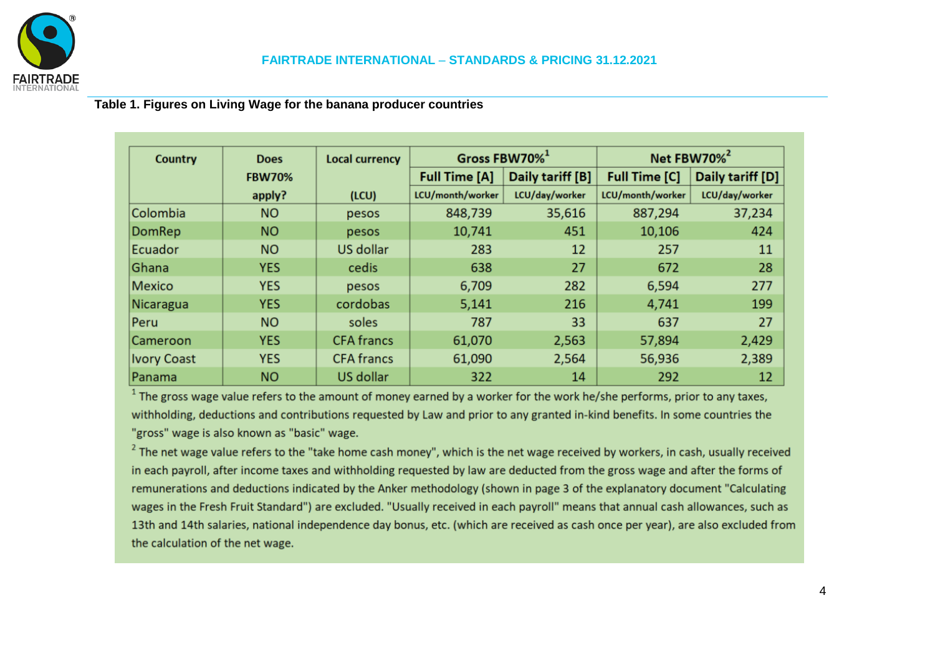

# **Table 1. Figures on Living Wage for the banana producer countries**

| Country            | <b>Does</b>   | <b>Local currency</b> |                                          | Gross FBW70% <sup>1</sup> | Net FBW70% <sup>2</sup> |                  |  |
|--------------------|---------------|-----------------------|------------------------------------------|---------------------------|-------------------------|------------------|--|
|                    | <b>FBW70%</b> |                       | Daily tariff [B]<br><b>Full Time [A]</b> |                           | <b>Full Time [C]</b>    | Daily tariff [D] |  |
|                    | apply?        | (ICU)                 | LCU/month/worker                         | LCU/day/worker            | LCU/month/worker        | LCU/day/worker   |  |
| Colombia           | <b>NO</b>     | pesos                 | 848,739                                  | 35,616                    | 887,294                 | 37,234           |  |
| DomRep             | <b>NO</b>     | pesos                 | 10,741                                   | 451                       | 10,106                  | 424              |  |
| Ecuador            | <b>NO</b>     | US dollar             | 283                                      | 12                        | 257                     | 11               |  |
| Ghana              | <b>YES</b>    | cedis                 | 638                                      | 27                        | 672                     | 28               |  |
| Mexico             | <b>YES</b>    | pesos                 | 6,709                                    | 282                       | 6,594                   | 277              |  |
| Nicaragua          | <b>YES</b>    | cordobas              | 5,141                                    | 216                       | 4,741                   | 199              |  |
| Peru               | <b>NO</b>     | soles                 | 787                                      | 33                        | 637                     | 27               |  |
| Cameroon           | <b>YES</b>    | <b>CFA</b> francs     | 61,070                                   | 2,563                     | 57,894                  | 2,429            |  |
| <b>Ivory Coast</b> | <b>YES</b>    | <b>CFA</b> francs     | 61,090                                   | 2,564                     | 56,936                  | 2,389            |  |
| Panama             | <b>NO</b>     | <b>US dollar</b>      | 322                                      | 14                        | 292                     | 12               |  |

 $1$  The gross wage value refers to the amount of money earned by a worker for the work he/she performs, prior to any taxes, withholding, deductions and contributions requested by Law and prior to any granted in-kind benefits. In some countries the "gross" wage is also known as "basic" wage.

 $2$  The net wage value refers to the "take home cash money", which is the net wage received by workers, in cash, usually received in each payroll, after income taxes and withholding requested by law are deducted from the gross wage and after the forms of remunerations and deductions indicated by the Anker methodology (shown in page 3 of the explanatory document "Calculating wages in the Fresh Fruit Standard") are excluded. "Usually received in each payroll" means that annual cash allowances, such as 13th and 14th salaries, national independence day bonus, etc. (which are received as cash once per year), are also excluded from the calculation of the net wage.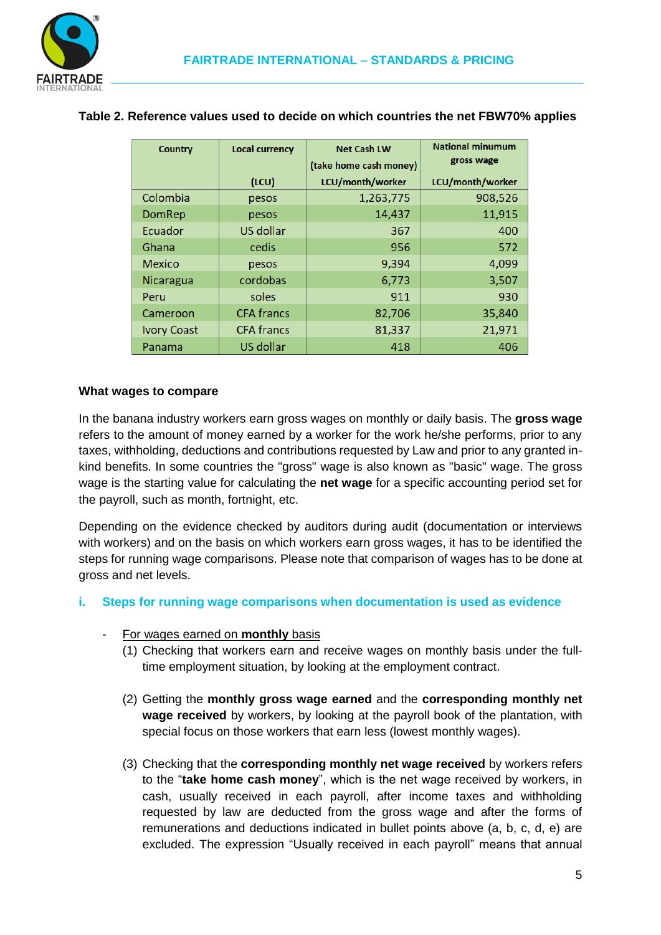

| <b>Country</b>     | <b>Local currency</b> | <b>Net Cash LW</b>     | <b>National minumum</b> |
|--------------------|-----------------------|------------------------|-------------------------|
|                    |                       | (take home cash money) | gross wage              |
|                    | (ICU)                 | LCU/month/worker       | LCU/month/worker        |
| Colombia           | pesos                 | 1,263,775              | 908,526                 |
| DomRep             | pesos                 | 14,437                 | 11,915                  |
| Ecuador            | US dollar             | 367                    | 400                     |
| Ghana              | cedis                 | 956                    | 572                     |
| <b>Mexico</b>      | pesos                 | 9,394                  | 4,099                   |
| Nicaragua          | cordobas              | 6,773                  | 3,507                   |
| Peru               | soles                 | 911                    | 930                     |
| Cameroon           | <b>CFA</b> francs     | 82,706                 | 35,840                  |
| <b>Ivory Coast</b> | <b>CFA</b> francs     | 81,337                 | 21,971                  |
| Panama             | US dollar             | 418                    | 406                     |

## **Table 2. Reference values used to decide on which countries the net FBW70% applies**

#### **What wages to compare**

In the banana industry workers earn gross wages on monthly or daily basis. The **gross wage** refers to the amount of money earned by a worker for the work he/she performs, prior to any taxes, withholding, deductions and contributions requested by Law and prior to any granted inkind benefits. In some countries the "gross" wage is also known as "basic" wage. The gross wage is the starting value for calculating the **net wage** for a specific accounting period set for the payroll, such as month, fortnight, etc.

Depending on the evidence checked by auditors during audit (documentation or interviews with workers) and on the basis on which workers earn gross wages, it has to be identified the steps for running wage comparisons. Please note that comparison of wages has to be done at gross and net levels.

#### **i. Steps for running wage comparisons when documentation is used as evidence**

- For wages earned on **monthly** basis
	- (1) Checking that workers earn and receive wages on monthly basis under the fulltime employment situation, by looking at the employment contract.
	- (2) Getting the **monthly gross wage earned** and the **corresponding monthly net wage received** by workers, by looking at the payroll book of the plantation, with special focus on those workers that earn less (lowest monthly wages).
	- (3) Checking that the **corresponding monthly net wage received** by workers refers to the "**take home cash money**", which is the net wage received by workers, in cash, usually received in each payroll, after income taxes and withholding requested by law are deducted from the gross wage and after the forms of remunerations and deductions indicated in bullet points above (a, b, c, d, e) are excluded. The expression "Usually received in each payroll" means that annual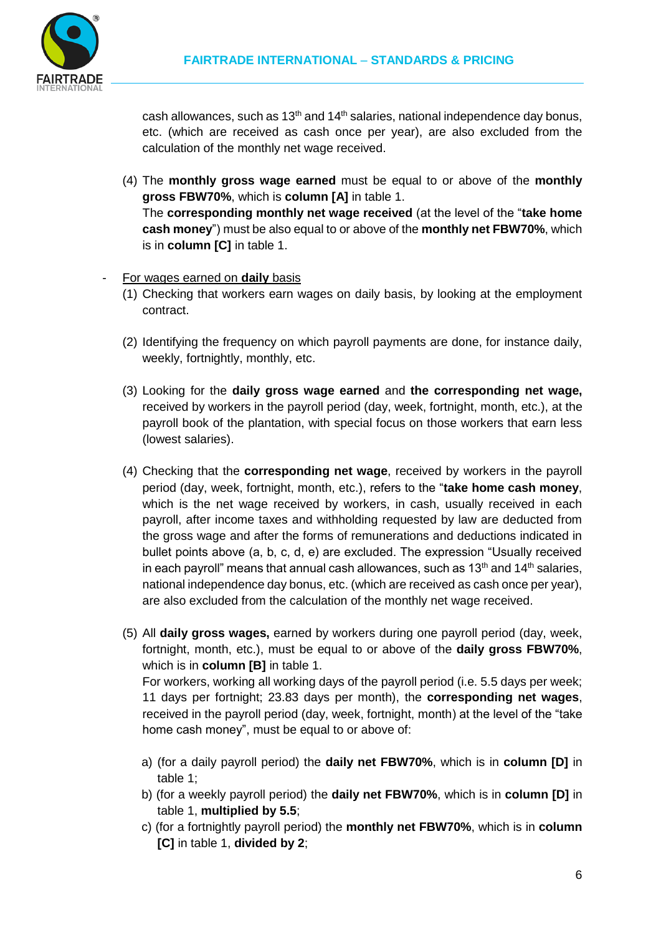

cash allowances, such as  $13<sup>th</sup>$  and  $14<sup>th</sup>$  salaries, national independence day bonus, etc. (which are received as cash once per year), are also excluded from the calculation of the monthly net wage received.

- (4) The **monthly gross wage earned** must be equal to or above of the **monthly gross FBW70%**, which is **column [A]** in table 1. The **corresponding monthly net wage received** (at the level of the "**take home cash money**") must be also equal to or above of the **monthly net FBW70%**, which is in **column [C]** in table 1.
- For wages earned on **daily** basis
	- (1) Checking that workers earn wages on daily basis, by looking at the employment contract.
	- (2) Identifying the frequency on which payroll payments are done, for instance daily, weekly, fortnightly, monthly, etc.
	- (3) Looking for the **daily gross wage earned** and **the corresponding net wage,** received by workers in the payroll period (day, week, fortnight, month, etc.), at the payroll book of the plantation, with special focus on those workers that earn less (lowest salaries).
	- (4) Checking that the **corresponding net wage**, received by workers in the payroll period (day, week, fortnight, month, etc.), refers to the "**take home cash money**, which is the net wage received by workers, in cash, usually received in each payroll, after income taxes and withholding requested by law are deducted from the gross wage and after the forms of remunerations and deductions indicated in bullet points above (a, b, c, d, e) are excluded. The expression "Usually received in each payroll" means that annual cash allowances, such as  $13<sup>th</sup>$  and  $14<sup>th</sup>$  salaries, national independence day bonus, etc. (which are received as cash once per year), are also excluded from the calculation of the monthly net wage received.
	- (5) All **daily gross wages,** earned by workers during one payroll period (day, week, fortnight, month, etc.), must be equal to or above of the **daily gross FBW70%**, which is in **column [B]** in table 1. For workers, working all working days of the payroll period (i.e. 5.5 days per week;

11 days per fortnight; 23.83 days per month), the **corresponding net wages**, received in the payroll period (day, week, fortnight, month) at the level of the "take home cash money", must be equal to or above of:

- a) (for a daily payroll period) the **daily net FBW70%**, which is in **column [D]** in table 1;
- b) (for a weekly payroll period) the **daily net FBW70%**, which is in **column [D]** in table 1, **multiplied by 5.5**;
- c) (for a fortnightly payroll period) the **monthly net FBW70%**, which is in **column [C]** in table 1, **divided by 2**;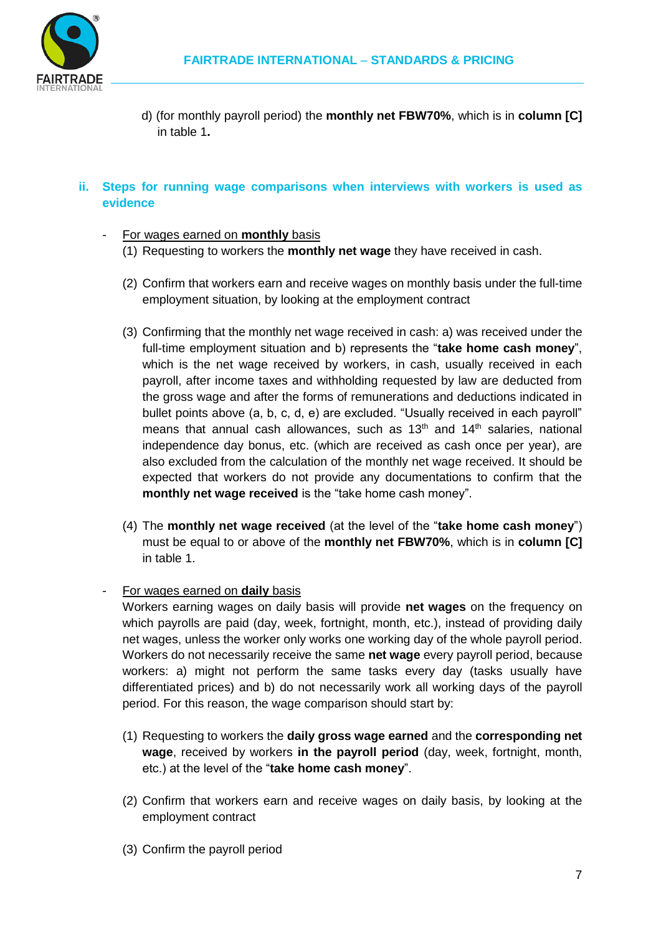

d) (for monthly payroll period) the **monthly net FBW70%**, which is in **column [C]** in table 1**.**

## **ii. Steps for running wage comparisons when interviews with workers is used as evidence**

## - For wages earned on **monthly** basis

- (1) Requesting to workers the **monthly net wage** they have received in cash.
- (2) Confirm that workers earn and receive wages on monthly basis under the full-time employment situation, by looking at the employment contract
- (3) Confirming that the monthly net wage received in cash: a) was received under the full-time employment situation and b) represents the "**take home cash money**", which is the net wage received by workers, in cash, usually received in each payroll, after income taxes and withholding requested by law are deducted from the gross wage and after the forms of remunerations and deductions indicated in bullet points above (a, b, c, d, e) are excluded. "Usually received in each payroll" means that annual cash allowances, such as  $13<sup>th</sup>$  and  $14<sup>th</sup>$  salaries, national independence day bonus, etc. (which are received as cash once per year), are also excluded from the calculation of the monthly net wage received. It should be expected that workers do not provide any documentations to confirm that the **monthly net wage received** is the "take home cash money".
- (4) The **monthly net wage received** (at the level of the "**take home cash money**") must be equal to or above of the **monthly net FBW70%**, which is in **column [C]** in table 1.

#### - For wages earned on **daily** basis

Workers earning wages on daily basis will provide **net wages** on the frequency on which payrolls are paid (day, week, fortnight, month, etc.), instead of providing daily net wages, unless the worker only works one working day of the whole payroll period. Workers do not necessarily receive the same **net wage** every payroll period, because workers: a) might not perform the same tasks every day (tasks usually have differentiated prices) and b) do not necessarily work all working days of the payroll period. For this reason, the wage comparison should start by:

- (1) Requesting to workers the **daily gross wage earned** and the **corresponding net wage**, received by workers **in the payroll period** (day, week, fortnight, month, etc.) at the level of the "**take home cash money**".
- (2) Confirm that workers earn and receive wages on daily basis, by looking at the employment contract
- (3) Confirm the payroll period